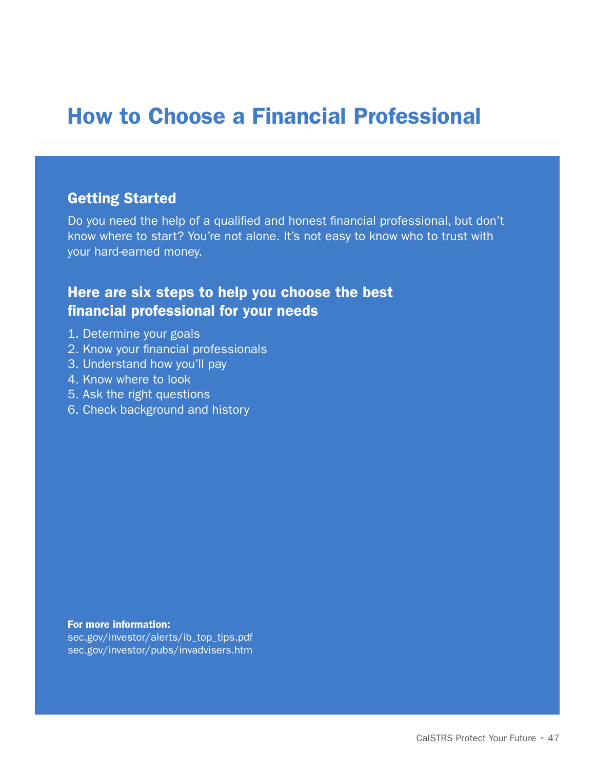# How to Choose a Financial Professional

# Getting Started

Do you need the help of a qualified and honest financial professional, but don't know where to start? You're not alone. It's not easy to know who to trust with your hard-earned money.

# Here are six steps to help you choose the best financial professional for your needs

- 1. Determine your goals
- 2. Know your financial professionals
- 3. Understand how you'll pay
- 4. Know where to look
- 5. Ask the right questions
- 6. Check background and history

For more information: sec.gov/investor/alerts/ib\_top\_tips.pdf sec.gov/investor/pubs/invadvisers.htm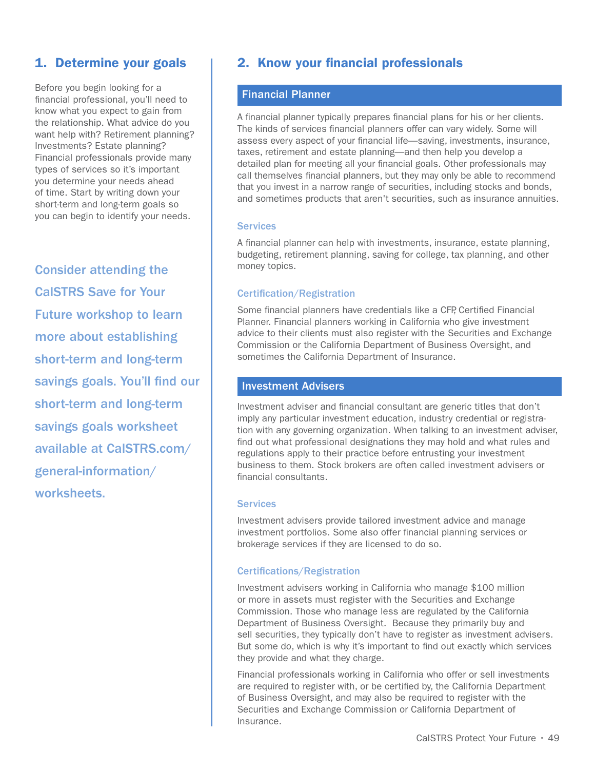### 1. Determine your goals

Before you begin looking for a financial professional, you'll need to know what you expect to gain from the relationship. What advice do you want help with? Retirement planning? Investments? Estate planning? Financial professionals provide many types of services so it's important you determine your needs ahead of time. Start by writing down your short-term and long-term goals so you can begin to identify your needs.

Consider attending the CalSTRS Save for Your Future workshop to learn more about establishing short-term and long-term savings goals. You'll find our short-term and long-term savings goals worksheet available at CalSTRS.com/ general-information/ worksheets.

# 2. Know your financial professionals

#### Financial Planner

A financial planner typically prepares financial plans for his or her clients. The kinds of services financial planners offer can vary widely. Some will assess every aspect of your financial life—saving, investments, insurance, taxes, retirement and estate planning—and then help you develop a detailed plan for meeting all your financial goals. Other professionals may call themselves financial planners, but they may only be able to recommend that you invest in a narrow range of securities, including stocks and bonds, and sometimes products that aren't securities, such as insurance annuities.

#### **Services**

A financial planner can help with investments, insurance, estate planning, budgeting, retirement planning, saving for college, tax planning, and other money topics.

#### Certification/Registration

Some financial planners have credentials like a CFP, Certified Financial Planner. Financial planners working in California who give investment advice to their clients must also register with the Securities and Exchange Commission or the California Department of Business Oversight, and sometimes the California Department of Insurance.

#### Investment Advisers

Investment adviser and financial consultant are generic titles that don't imply any particular investment education, industry credential or registration with any governing organization. When talking to an investment adviser, find out what professional designations they may hold and what rules and regulations apply to their practice before entrusting your investment business to them. Stock brokers are often called investment advisers or financial consultants.

#### **Services**

Investment advisers provide tailored investment advice and manage investment portfolios. Some also offer financial planning services or brokerage services if they are licensed to do so.

#### Certifications/Registration

Investment advisers working in California who manage \$100 million or more in assets must register with the Securities and Exchange Commission. Those who manage less are regulated by the California Department of Business Oversight. Because they primarily buy and sell securities, they typically don't have to register as investment advisers. But some do, which is why it's important to find out exactly which services they provide and what they charge.

Financial professionals working in California who offer or sell investments are required to register with, or be certified by, the California Department of Business Oversight, and may also be required to register with the Securities and Exchange Commission or California Department of Insurance.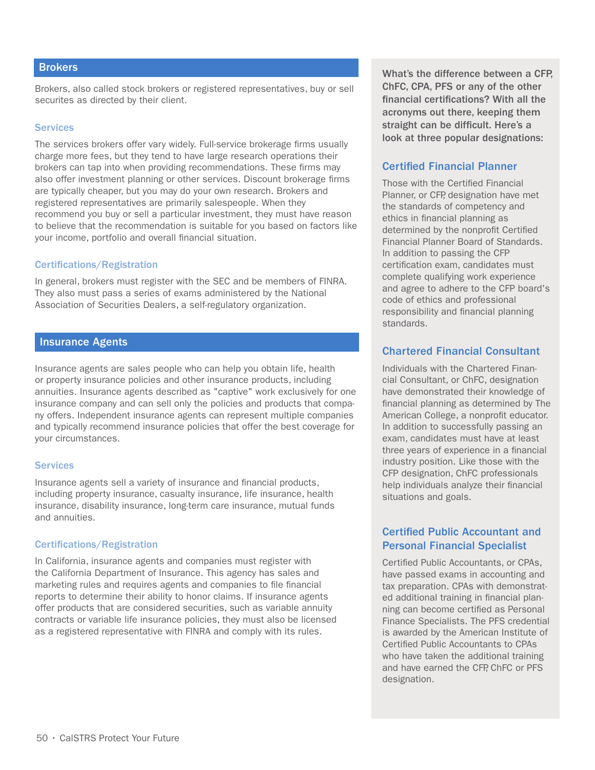#### **Brokers**

Brokers, also called stock brokers or registered representatives, buy or sell securites as directed by their client.

#### **Services**

The services brokers offer vary widely. Full-service brokerage firms usually charge more fees, but they tend to have large research operations their brokers can tap into when providing recommendations. These firms may also offer investment planning or other services. Discount brokerage firms are typically cheaper, but you may do your own research. Brokers and registered representatives are primarily salespeople. When they recommend you buy or sell a particular investment, they must have reason to believe that the recommendation is suitable for you based on factors like your income, portfolio and overall financial situation.

#### Certifications/Registration

In general, brokers must register with the SEC and be members of FINRA. They also must pass a series of exams administered by the National Association of Securities Dealers, a self-regulatory organization.

#### Insurance Agents

Insurance agents are sales people who can help you obtain life, health or property insurance policies and other insurance products, including annuities. Insurance agents described as "captive" work exclusively for one insurance company and can sell only the policies and products that company offers. Independent insurance agents can represent multiple companies and typically recommend insurance policies that offer the best coverage for your circumstances.

#### **Services**

Insurance agents sell a variety of insurance and financial products, including property insurance, casualty insurance, life insurance, health insurance, disability insurance, long-term care insurance, mutual funds and annuities.

#### Certifications/Registration

In California, insurance agents and companies must register with the California Department of Insurance. This agency has sales and marketing rules and requires agents and companies to file financial reports to determine their ability to honor claims. If insurance agents offer products that are considered securities, such as variable annuity contracts or variable life insurance policies, they must also be licensed as a registered representative with FINRA and comply with its rules.

What's the difference between a CFP, ChFC, CPA, PFS or any of the other financial certifications? With all the acronyms out there, keeping them straight can be difficult. Here's a look at three popular designations:

#### Certified Financial Planner

Those with the Certified Financial Planner, or CFP, designation have met the standards of competency and ethics in financial planning as determined by the nonprofit Certified Financial Planner Board of Standards. In addition to passing the CFP certification exam, candidates must complete qualifying work experience and agree to adhere to the CFP board's code of ethics and professional responsibility and financial planning standards.

#### Chartered Financial Consultant

Individuals with the Chartered Financial Consultant, or ChFC, designation have demonstrated their knowledge of financial planning as determined by The American College, a nonprofit educator. In addition to successfully passing an exam, candidates must have at least three years of experience in a financial industry position. Like those with the CFP designation, ChFC professionals help individuals analyze their financial situations and goals.

#### Certified Public Accountant and Personal Financial Specialist

Certified Public Accountants, or CPAs, have passed exams in accounting and tax preparation. CPAs with demonstrated additional training in financial planning can become certified as Personal Finance Specialists. The PFS credential is awarded by the American Institute of Certified Public Accountants to CPAs who have taken the additional training and have earned the CFP, ChFC or PFS designation.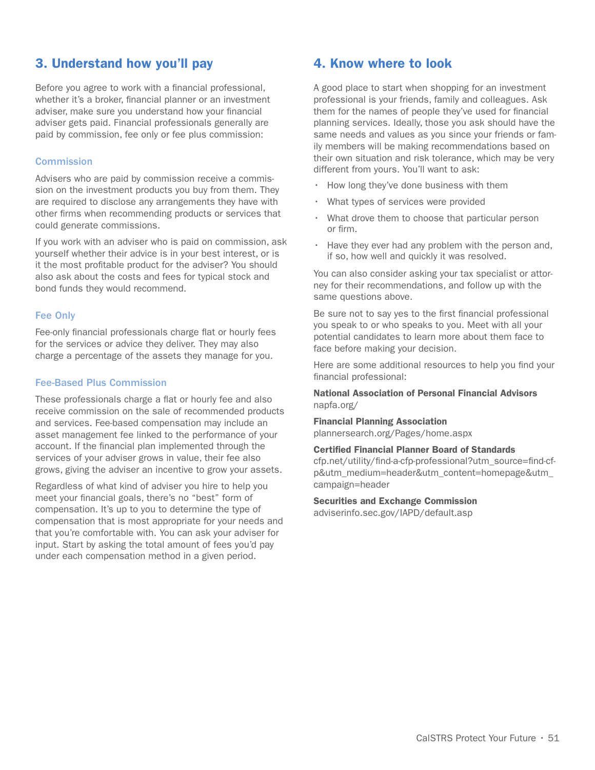# 3. Understand how you'll pay

Before you agree to work with a financial professional, whether it's a broker, financial planner or an investment adviser, make sure you understand how your financial adviser gets paid. Financial professionals generally are paid by commission, fee only or fee plus commission:

#### **Commission**

Advisers who are paid by commission receive a commission on the investment products you buy from them. They are required to disclose any arrangements they have with other firms when recommending products or services that could generate commissions.

If you work with an adviser who is paid on commission, ask yourself whether their advice is in your best interest, or is it the most profitable product for the adviser? You should also ask about the costs and fees for typical stock and bond funds they would recommend.

#### Fee Only

Fee-only financial professionals charge flat or hourly fees for the services or advice they deliver. They may also charge a percentage of the assets they manage for you.

#### Fee-Based Plus Commission

These professionals charge a flat or hourly fee and also receive commission on the sale of recommended products and services. Fee-based compensation may include an asset management fee linked to the performance of your account. If the financial plan implemented through the services of your adviser grows in value, their fee also grows, giving the adviser an incentive to grow your assets.

Regardless of what kind of adviser you hire to help you meet your financial goals, there's no "best" form of compensation. It's up to you to determine the type of compensation that is most appropriate for your needs and that you're comfortable with. You can ask your adviser for input. Start by asking the total amount of fees you'd pay under each compensation method in a given period.

### 4. Know where to look

A good place to start when shopping for an investment professional is your friends, family and colleagues. Ask them for the names of people they've used for financial planning services. Ideally, those you ask should have the same needs and values as you since your friends or family members will be making recommendations based on their own situation and risk tolerance, which may be very different from yours. You'll want to ask:

- How long they've done business with them
- What types of services were provided
- What drove them to choose that particular person or firm.
- Have they ever had any problem with the person and, if so, how well and quickly it was resolved.

You can also consider asking your tax specialist or attorney for their recommendations, and follow up with the same questions above.

Be sure not to say yes to the first financial professional you speak to or who speaks to you. Meet with all your potential candidates to learn more about them face to face before making your decision.

Here are some additional resources to help you find your financial professional:

National Association of Personal Financial Advisors napfa.org/

# Financial Planning Association

plannersearch.org/Pages/home.aspx

#### Certified Financial Planner Board of Standards

cfp.net/utility/find-a-cfp-professional?utm\_source=find-cfp&utm\_medium=header&utm\_content=homepage&utm\_ campaign=header

Securities and Exchange Commission adviserinfo.sec.gov/IAPD/default.asp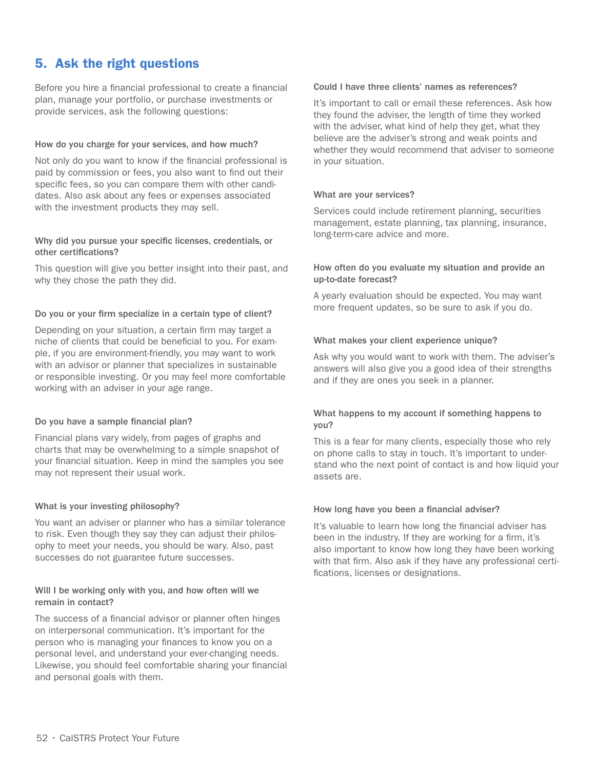# 5. Ask the right questions

Before you hire a financial professional to create a financial plan, manage your portfolio, or purchase investments or provide services, ask the following questions:

#### How do you charge for your services, and how much?

Not only do you want to know if the financial professional is paid by commission or fees, you also want to find out their specific fees, so you can compare them with other candidates. Also ask about any fees or expenses associated with the investment products they may sell.

#### Why did you pursue your specific licenses, credentials, or other certifications?

This question will give you better insight into their past, and why they chose the path they did.

#### Do you or your firm specialize in a certain type of client?

Depending on your situation, a certain firm may target a niche of clients that could be beneficial to you. For example, if you are environment-friendly, you may want to work with an advisor or planner that specializes in sustainable or responsible investing. Or you may feel more comfortable working with an adviser in your age range.

#### Do you have a sample financial plan?

Financial plans vary widely, from pages of graphs and charts that may be overwhelming to a simple snapshot of your financial situation. Keep in mind the samples you see may not represent their usual work.

#### What is your investing philosophy?

You want an adviser or planner who has a similar tolerance to risk. Even though they say they can adjust their philosophy to meet your needs, you should be wary. Also, past successes do not guarantee future successes.

#### Will I be working only with you, and how often will we remain in contact?

The success of a financial advisor or planner often hinges on interpersonal communication. It's important for the person who is managing your finances to know you on a personal level, and understand your ever-changing needs. Likewise, you should feel comfortable sharing your financial and personal goals with them.

#### Could I have three clients' names as references?

It's important to call or email these references. Ask how they found the adviser, the length of time they worked with the adviser, what kind of help they get, what they believe are the adviser's strong and weak points and whether they would recommend that adviser to someone in your situation.

#### What are your services?

Services could include retirement planning, securities management, estate planning, tax planning, insurance, long-term-care advice and more.

#### How often do you evaluate my situation and provide an up-to-date forecast?

A yearly evaluation should be expected. You may want more frequent updates, so be sure to ask if you do.

#### What makes your client experience unique?

Ask why you would want to work with them. The adviser's answers will also give you a good idea of their strengths and if they are ones you seek in a planner.

#### What happens to my account if something happens to you?

This is a fear for many clients, especially those who rely on phone calls to stay in touch. It's important to understand who the next point of contact is and how liquid your assets are.

#### How long have you been a financial adviser?

It's valuable to learn how long the financial adviser has been in the industry. If they are working for a firm, it's also important to know how long they have been working with that firm. Also ask if they have any professional certifications, licenses or designations.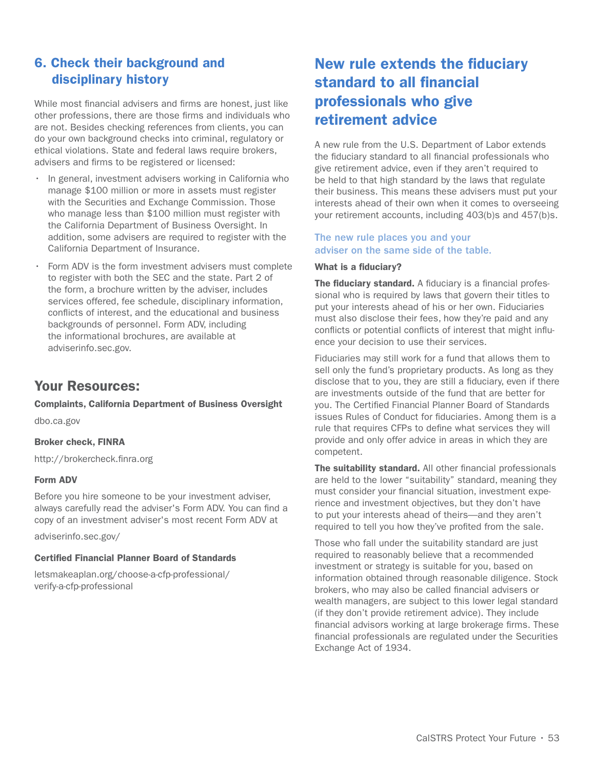# 6. Check their background and disciplinary history

While most financial advisers and firms are honest, just like other professions, there are those firms and individuals who are not. Besides checking references from clients, you can do your own background checks into criminal, regulatory or ethical violations. State and federal laws require brokers, advisers and firms to be registered or licensed:

- In general, investment advisers working in California who manage \$100 million or more in assets must register with the Securities and Exchange Commission. Those who manage less than \$100 million must register with the California Department of Business Oversight. In addition, some advisers are required to register with the California Department of Insurance.
- Form ADV is the form investment advisers must complete to register with both the SEC and the state. Part 2 of the form, a brochure written by the adviser, includes services offered, fee schedule, disciplinary information, conflicts of interest, and the educational and business backgrounds of personnel. Form ADV, including the informational brochures, are available at adviserinfo.sec.gov.

# Your Resources:

Complaints, California Department of Business Oversight

dbo.ca.gov

#### Broker check, FINRA

http://brokercheck.finra.org

#### Form ADV

Before you hire someone to be your investment adviser, always carefully read the adviser's Form ADV. You can find a copy of an investment adviser's most recent Form ADV at

adviserinfo.sec.gov/

#### Certified Financial Planner Board of Standards

letsmakeaplan.org/choose-a-cfp-professional/ verify-a-cfp-professional

# New rule extends the fiduciary standard to all financial professionals who give retirement advice

A new rule from the U.S. Department of Labor extends the fiduciary standard to all financial professionals who give retirement advice, even if they aren't required to be held to that high standard by the laws that regulate their business. This means these advisers must put your interests ahead of their own when it comes to overseeing your retirement accounts, including 403(b)s and 457(b)s.

The new rule places you and your adviser on the same side of the table.

#### What is a fiduciary?

The fiduciary standard. A fiduciary is a financial professional who is required by laws that govern their titles to put your interests ahead of his or her own. Fiduciaries must also disclose their fees, how they're paid and any conflicts or potential conflicts of interest that might influence your decision to use their services.

Fiduciaries may still work for a fund that allows them to sell only the fund's proprietary products. As long as they disclose that to you, they are still a fiduciary, even if there are investments outside of the fund that are better for you. The Certified Financial Planner Board of Standards issues Rules of Conduct for fiduciaries. Among them is a rule that requires CFPs to define what services they will provide and only offer advice in areas in which they are competent.

The suitability standard. All other financial professionals are held to the lower "suitability" standard, meaning they must consider your financial situation, investment experience and investment objectives, but they don't have to put your interests ahead of theirs—and they aren't required to tell you how they've profited from the sale.

Those who fall under the suitability standard are just required to reasonably believe that a recommended investment or strategy is suitable for you, based on information obtained through reasonable diligence. Stock brokers, who may also be called financial advisers or wealth managers, are subject to this lower legal standard (if they don't provide retirement advice). They include financial advisors working at large brokerage firms. These financial professionals are regulated under the Securities Exchange Act of 1934.